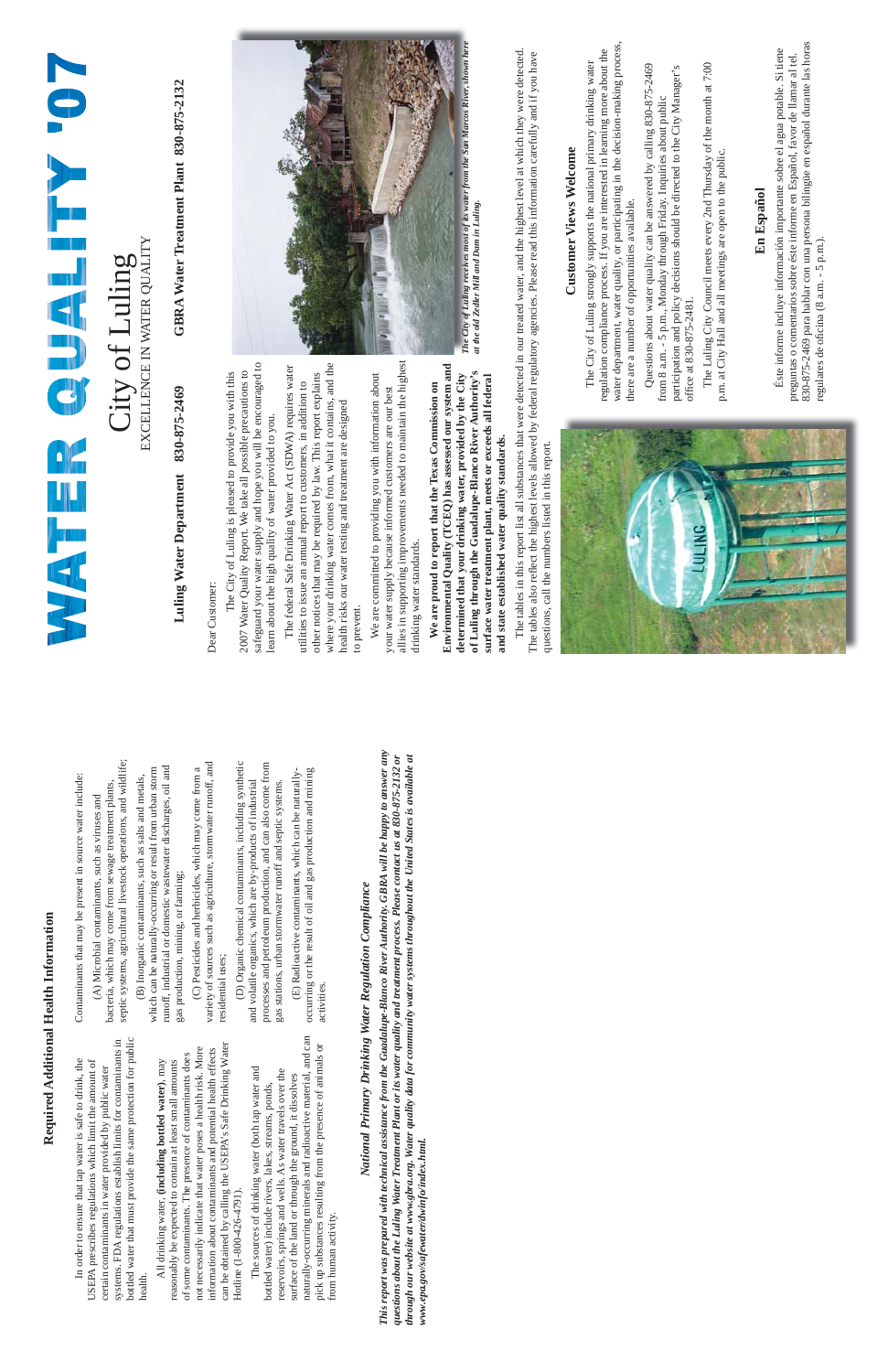Dear Customer: Dear Customer:

safeguard your water supply and hope you will be encouraged to safeguard your water supply and hope you will be encouraged to The City of Luling is pleased to provide you with this The City of Luling is pleased to provide you with this 2007 Water Quality Report. We take all possible precautions to 2007 Water Quality Report. We take all possible precautions to learn about the high quality of water provided to you. learn about the high quality of water provided to you.

where your drinking water comes from, what it contains, and the where your drinking water comes from, what it contains, and the The federal Safe Drinking Water Act (SDWA) requires water The federal Safe Drinking Water Act (SDWA) requires water other notices that may be required by law. This report explains other notices that may be required by law. This report explains utilities to issue an annual report to customers, in addition to utilities to issue an annual report to customers, in addition to health risks our water testing and treatment are designed health risks our water testing and treatment are designed to prevent. to prevent.

allies in supporting improvements needed to maintain the highest allies in supporting improvements needed to maintain the highest We are committed to providing you with information about We are committed to providing you with information about your water supply because informed customers are our best your water supply because informed customers are our best drinking water standards. drinking water standards.

# **Luling Water Department 830-875-2469 GBRA Water Treatment Plant 830-875-2132** Luling Water Department 830-875-2469

GBRA Water Treatment Plant 830-875-2132

#### **Customer Views Welcome Customer Views Welcome**

 Questions about water quality can be answered by calling 830-875-2469 Questions about water quality can be answered by calling 830-875-2469 participation and policy decisions should be directed to the City Manager's participation and policy decisions should be directed to the City Manager's from 8 a.m. - 5 p.m., Monday through Friday. Inquiries about public from 8 a.m. - 5 p.m., Monday through Friday. Inquiries about public office at 830-875-2481. office at  $830 - 875 - 2481$ .

**Environmental Quality (TCEQ) has assessed our system and**  Environmental Quality (TCEQ) has assessed our system and **of Luling through the Guadalupe-Blanco River Authority's determined that your drinking water, provided by the City**  of Luling through the Guadalupe-Blanco River Authority's determined that your drinking water, provided by the City **surface water treatment plant, meets or exceeds all federal**  surface water treatment plant, meets or exceeds all federal **We are proud to report that the Texas Commission on**  We are proud to report that the Texas Commission on and state established water quality standards. **and state established water quality standards.**

 The Luling City Council meets every 2nd Thursday of the month at 7:00 The Luling City Council meets every 2nd Thursday of the month at 7:00 p.m. at City Hall and all meetings are open to the public. p.m. at City Hall and all meetings are open to the public

#### En Español **En Español**

830-875-2469 para hablar con una persona bilingüe en español durante las horas 830-875-2469 para hablar con una persona bilingüe en español durante las horas Éste informe incluye información importante sobre el agua potable. Si tiene Éste informe incluye información importante sobre el agua potable. Si tiene preguntas o comentarios sobre éste informe en Español, favor de llamar al tel. preguntas o comentarios sobre éste informe en Español, favor de llamar al tel. regulares de oficina (8 a.m. - 5 p.m.). regulares de oficina (8 a.m. - 5 p.m.).

The tables in this report list all substances that were detected in our treated water, and the highest level at which they were detected. The tables in this report list all substances that were detected in our treated water, and the highest level at which they were detected. The tables also reflect the highest levels allowed by federal regulatory agencies. Please read this information carefully and if you have The tables also reflect the highest levels allowed by federal regulatory agencies. Please read this information carefully and if you have questions, call the numbers listed in this report. questions, call the numbers listed in this report.



#### EXCELLENCE IN WATER QUALITY EXCELLENCE IN WATER QUALITY City of Luling City of Luling

water department, water quality, or participating in the decision-making process, water department, water quality, or participating in the decision-making process, regulation compliance process. If you are interested in learning more about the regulation compliance process. If you are interested in learning more about the The City of Luling strongly supports the national primary drinking water The City of Luling strongly supports the national primary drinking water there are a number of opportunities available. there are a number of opportunities available.

aminants that may be present in source water include: Contaminants that may be present in source water include:

c systems, agricultural livestock operations, and wildlife; septic systems, agricultural livestock operations, and wildlife; bacteria, which may come from sewage treatment plants, ria, which may come from sewage treatment plants, (A) Microbial contaminants, such as viruses and (A) Microbial contaminants, such as viruses and

ty of sources such as agriculture, stormwater runoff, and variety of sources such as agriculture, stormwater runoff, and (C) Pesticides and herbicides, which may come from a (C) Pesticides and herbicides, which may come from a ential uses; residential uses;

## Required Additional Health Information **Required Additional Health Information**

## National Primary Drinking Water Regulation Compliance *National Primary Drinking Water Regulation Compliance*



at the old Zedler Mill and Dam in Luling. *at the old Zedler Mill and Dam in Luling.*

| In order to ensure that tap water is safe to drink, the<br>USEPA prescribes regulations which limit the amount of                                                                                                       | Conta                                 |
|-------------------------------------------------------------------------------------------------------------------------------------------------------------------------------------------------------------------------|---------------------------------------|
| bottled water that must provide the same protection for public<br>systems. FDA regulations establish limits for contaminants in<br>certain contaminants in water provided by public water<br>health.                    | bacte<br>septi                        |
| of some contaminants. The presence of contaminants does<br>All drinking water, (including bottled water), may<br>reasonably be expected to contain at least small amounts                                               | whicl<br>runot<br>gas p               |
| can be obtained by calling the USEPA's Safe Drinking Water<br>not necessarily indicate that water poses a health risk. More<br>information about contaminants and potential health effects<br>Hotline (1-800-426-4791). | varie<br>resid                        |
| The sources of drinking water (both tap water and<br>reservoirs, springs and wells. As water travels over the<br>bottled water) include rivers, lakes, streams, ponds,                                                  | and $\overline{v}$<br>proce<br>gas si |
| naturally-occurring minerals and radioactive material, and can<br>pick up substances resulting from the presence of animals or<br>surface of the land or through the ground, it dissolves<br>from human activity.       | occiii<br>activ <sub>1</sub>          |

which can be naturally-occurring or result from urban storm runoff, industrial or domestic wastewater discharges, oil and h can be naturally-occurring or result from urban storm f, industrial or domestic wastewater discharges, oil and (B) Inorganic contaminants, such as salts and metals, (B) Inorganic contaminants, such as salts and metals, roduction, mining, or farming; gas production, mining, or farming;

 (D) Organic chemical contaminants, including synthetic processes and petroleum production, and can also come from (D) Organic chemical contaminants, including synthetic esses and petroleum production, and can also come from and volatile organics, which are by-products of industrial olatile organics, which are by-products of industrial tations, urban stormwater runoff and septic systems. gas stations, urban stormwater runoff and septic systems.

occurring or the result of oil and gas production and mining (E) Radioactive contaminants, which can be naturallyring or the result of oil and gas production and mining (E) Radioactive contaminants, which can be naturallyities. activities.

*This report was prepared with technical assistance from the Guadalupe-Blanco River Authority. GBRA will be happy to answer any*  This report was prepared with technical assistance from the Guadalupe-Blanco River Authority. GBRA will be happy to answer any *questions about the Luling Water Treatment Plant or its water quality and treatment process. Please contact us at 830-875-2132 or through our website at www.gbra.org. Water quality data for community water systems throughout the United States is available at*  questions about the Luling Water Treatment Plant or its water quality and treatment process. Please contact us at 830-875-2132 or through our website at www.gbra.org. Water quality data for community water systems throughout the United States is available at www.epa.gov/safewater/dwinfo/index.html. *www.epa.gov/safewater/dwinfo/index.html.*

#